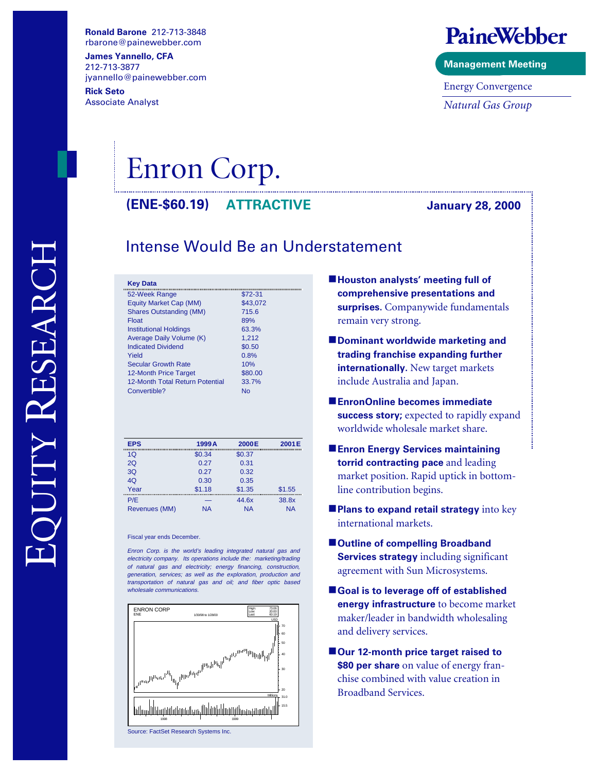**Ronald Barone**  rbarone@painewebber.com

**James Yannello, CFA** 212-713-3877 jyannello@painewebber.com **Rick Seto**

Associate Analyst

### PaineWebber

**Management Meeting**

Energy Convergence *Natural Gas Group*

# Enron Corp.

**(ENE-\$60.19) January 28, 2000 ATTRACTIVE**

### Intense Would Be an Understatement

| <b>Key Data</b>                 |          |
|---------------------------------|----------|
| 52-Week Range                   | \$72-31  |
| Equity Market Cap (MM)          | \$43,072 |
| <b>Shares Outstanding (MM)</b>  | 715.6    |
| Float                           | 89%      |
| <b>Institutional Holdings</b>   | 63.3%    |
| Average Daily Volume (K)        | 1.212    |
| <b>Indicated Dividend</b>       | \$0.50   |
| Yield                           | 0.8%     |
| <b>Secular Growth Rate</b>      | 10%      |
| 12-Month Price Target           | \$80.00  |
| 12-Month Total Return Potential | 33.7%    |
| Convertible?                    | N٥       |
|                                 |          |

| <b>EPS</b>    | 1999A     | 2000E     | 2001E     |
|---------------|-----------|-----------|-----------|
| 10            | \$0.34    | \$0.37    |           |
| 2Q            | 0.27      | 0.31      |           |
| 3Q            | 0.27      | 0.32      |           |
| 4Q            | 0.30      | 0.35      |           |
| Year          | \$1.18    | \$1.35    | \$1.55    |
| P/E           |           | 44.6x     | 38.8x     |
| Revenues (MM) | <b>NA</b> | <b>NA</b> | <b>NA</b> |

Fiscal year ends December.

Enron Corp. is the world's leading integrated natural gas and electricity company. Its operations include the: marketing/trading of natural gas and electricity; energy financing, construction, generation, services; as well as the exploration, production and transportation of natural gas and oil; and fiber optic based wholesale communications.



Source: FactSet Research Systems Inc.

- $\blacksquare$  **Houston analysts' meeting full of comprehensive presentations and surprises.** Companywide fundamentals remain very strong.
- $\blacksquare$  Dominant worldwide marketing and **trading franchise expanding further internationally.** New target markets include Australia and Japan.
- $\blacksquare$  **EnronOnline becomes immediate success story;** expected to rapidly expand worldwide wholesale market share.
- **Enron Energy Services maintaining torrid contracting pace** and leading market position. Rapid uptick in bottomline contribution begins.
- **Plans to expand retail strategy** into key international markets.
- Outline of compelling Broadband **Services strategy** including significant agreement with Sun Microsystems.
- Goal is to leverage off of established **energy infrastructure** to become market maker/leader in bandwidth wholesaling and delivery services.
- Our 12-month price target raised to **\$80 per share** on value of energy franchise combined with value creation in Broadband Services.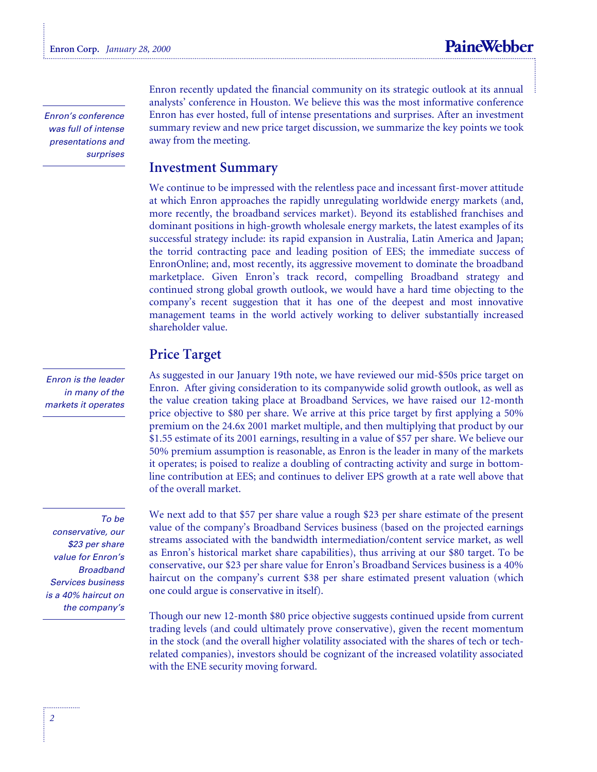Enron's conference was full of intense presentations and surprises

Enron is the leader in many of the markets it operates

#### To be

conservative, our \$23 per share value for Enron's Broadband Services business is a 40% haircut on the company's Enron recently updated the financial community on its strategic outlook at its annual analysts' conference in Houston. We believe this was the most informative conference Enron has ever hosted, full of intense presentations and surprises. After an investment summary review and new price target discussion, we summarize the key points we took away from the meeting.

#### **Investment Summary**

We continue to be impressed with the relentless pace and incessant first-mover attitude at which Enron approaches the rapidly unregulating worldwide energy markets (and, more recently, the broadband services market). Beyond its established franchises and dominant positions in high-growth wholesale energy markets, the latest examples of its successful strategy include: its rapid expansion in Australia, Latin America and Japan; the torrid contracting pace and leading position of EES; the immediate success of EnronOnline; and, most recently, its aggressive movement to dominate the broadband marketplace. Given Enron's track record, compelling Broadband strategy and continued strong global growth outlook, we would have a hard time objecting to the company's recent suggestion that it has one of the deepest and most innovative management teams in the world actively working to deliver substantially increased shareholder value.

#### **Price Target**

As suggested in our January 19th note, we have reviewed our mid-\$50s price target on Enron. After giving consideration to its companywide solid growth outlook, as well as the value creation taking place at Broadband Services, we have raised our 12-month price objective to \$80 per share. We arrive at this price target by first applying a 50% premium on the 24.6x 2001 market multiple, and then multiplying that product by our \$1.55 estimate of its 2001 earnings, resulting in a value of \$57 per share. We believe our 50% premium assumption is reasonable, as Enron is the leader in many of the markets it operates; is poised to realize a doubling of contracting activity and surge in bottomline contribution at EES; and continues to deliver EPS growth at a rate well above that of the overall market.

We next add to that \$57 per share value a rough \$23 per share estimate of the present value of the company's Broadband Services business (based on the projected earnings streams associated with the bandwidth intermediation/content service market, as well as Enron's historical market share capabilities), thus arriving at our \$80 target. To be conservative, our \$23 per share value for Enron's Broadband Services business is a 40% haircut on the company's current \$38 per share estimated present valuation (which one could argue is conservative in itself).

Though our new 12-month \$80 price objective suggests continued upside from current trading levels (and could ultimately prove conservative), given the recent momentum in the stock (and the overall higher volatility associated with the shares of tech or techrelated companies), investors should be cognizant of the increased volatility associated with the ENE security moving forward.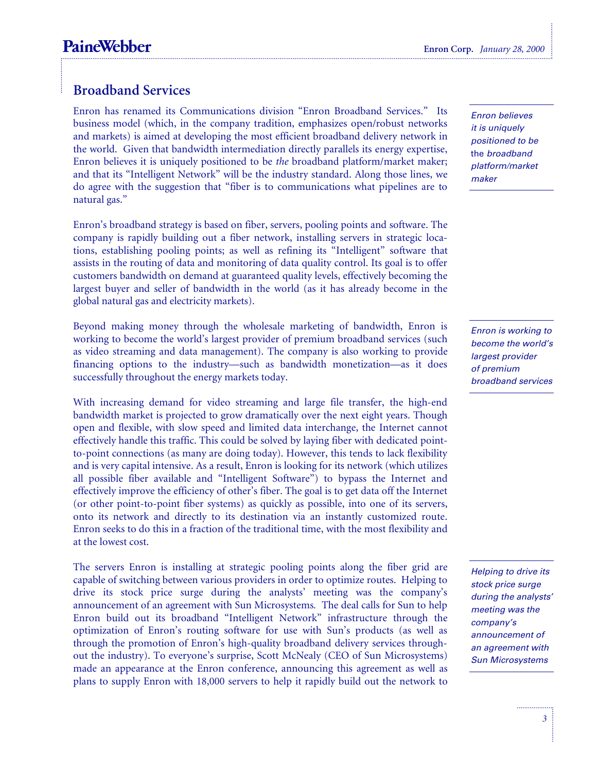#### **Broadband Services**

Enron has renamed its Communications division "Enron Broadband Services." Its business model (which, in the company tradition, emphasizes open/robust networks and markets) is aimed at developing the most efficient broadband delivery network in the world. Given that bandwidth intermediation directly parallels its energy expertise, Enron believes it is uniquely positioned to be *the* broadband platform/market maker; and that its "Intelligent Network" will be the industry standard. Along those lines, we do agree with the suggestion that "fiber is to communications what pipelines are to natural gas."

Enron's broadband strategy is based on fiber, servers, pooling points and software. The company is rapidly building out a fiber network, installing servers in strategic locations, establishing pooling points; as well as refining its "Intelligent" software that assists in the routing of data and monitoring of data quality control. Its goal is to offer customers bandwidth on demand at guaranteed quality levels, effectively becoming the largest buyer and seller of bandwidth in the world (as it has already become in the global natural gas and electricity markets).

Beyond making money through the wholesale marketing of bandwidth, Enron is working to become the world's largest provider of premium broadband services (such as video streaming and data management). The company is also working to provide financing options to the industry—such as bandwidth monetization—as it does successfully throughout the energy markets today.

With increasing demand for video streaming and large file transfer, the high-end bandwidth market is projected to grow dramatically over the next eight years. Though open and flexible, with slow speed and limited data interchange, the Internet cannot effectively handle this traffic. This could be solved by laying fiber with dedicated pointto-point connections (as many are doing today). However, this tends to lack flexibility and is very capital intensive. As a result, Enron is looking for its network (which utilizes all possible fiber available and "Intelligent Software") to bypass the Internet and effectively improve the efficiency of other's fiber. The goal is to get data off the Internet (or other point-to-point fiber systems) as quickly as possible, into one of its servers, onto its network and directly to its destination via an instantly customized route. Enron seeks to do this in a fraction of the traditional time, with the most flexibility and at the lowest cost.

The servers Enron is installing at strategic pooling points along the fiber grid are capable of switching between various providers in order to optimize routes. Helping to drive its stock price surge during the analysts' meeting was the company's announcement of an agreement with Sun Microsystems*.* The deal calls for Sun to help Enron build out its broadband "Intelligent Network" infrastructure through the optimization of Enron's routing software for use with Sun's products (as well as through the promotion of Enron's high-quality broadband delivery services throughout the industry). To everyone's surprise, Scott McNealy (CEO of Sun Microsystems) made an appearance at the Enron conference, announcing this agreement as well as plans to supply Enron with 18,000 servers to help it rapidly build out the network to

Enron believes it is uniquely positioned to be the broadband platform/market maker

Enron is working to become the world's largest provider of premium broadband services

Helping to drive its stock price surge during the analysts' meeting was the company's announcement of an agreement with Sun Microsystems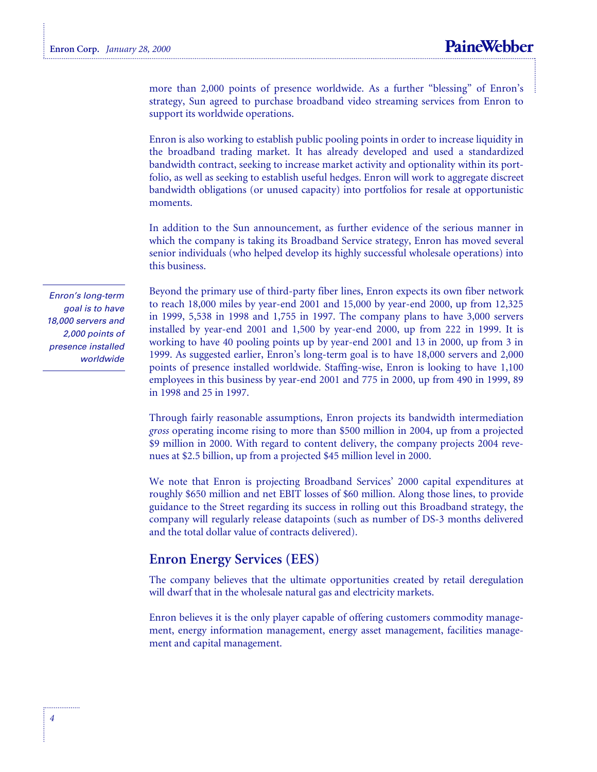more than 2,000 points of presence worldwide. As a further "blessing" of Enron's strategy, Sun agreed to purchase broadband video streaming services from Enron to support its worldwide operations.

Enron is also working to establish public pooling points in order to increase liquidity in the broadband trading market. It has already developed and used a standardized bandwidth contract, seeking to increase market activity and optionality within its portfolio, as well as seeking to establish useful hedges. Enron will work to aggregate discreet bandwidth obligations (or unused capacity) into portfolios for resale at opportunistic moments.

In addition to the Sun announcement, as further evidence of the serious manner in which the company is taking its Broadband Service strategy, Enron has moved several senior individuals (who helped develop its highly successful wholesale operations) into this business.

Beyond the primary use of third-party fiber lines, Enron expects its own fiber network to reach 18,000 miles by year-end 2001 and 15,000 by year-end 2000, up from 12,325 in 1999, 5,538 in 1998 and 1,755 in 1997. The company plans to have 3,000 servers installed by year-end 2001 and 1,500 by year-end 2000, up from 222 in 1999. It is working to have 40 pooling points up by year-end 2001 and 13 in 2000, up from 3 in 1999. As suggested earlier, Enron's long-term goal is to have 18,000 servers and 2,000 points of presence installed worldwide. Staffing-wise, Enron is looking to have 1,100 employees in this business by year-end 2001 and 775 in 2000, up from 490 in 1999, 89 in 1998 and 25 in 1997.

Through fairly reasonable assumptions, Enron projects its bandwidth intermediation *gross* operating income rising to more than \$500 million in 2004, up from a projected \$9 million in 2000. With regard to content delivery, the company projects 2004 revenues at \$2.5 billion, up from a projected \$45 million level in 2000.

We note that Enron is projecting Broadband Services' 2000 capital expenditures at roughly \$650 million and net EBIT losses of \$60 million. Along those lines, to provide guidance to the Street regarding its success in rolling out this Broadband strategy, the company will regularly release datapoints (such as number of DS-3 months delivered and the total dollar value of contracts delivered).

#### **Enron Energy Services (EES)**

The company believes that the ultimate opportunities created by retail deregulation will dwarf that in the wholesale natural gas and electricity markets.

Enron believes it is the only player capable of offering customers commodity management, energy information management, energy asset management, facilities management and capital management.

Enron's long-term goal is to have 18,000 servers and 2,000 points of presence installed worldwide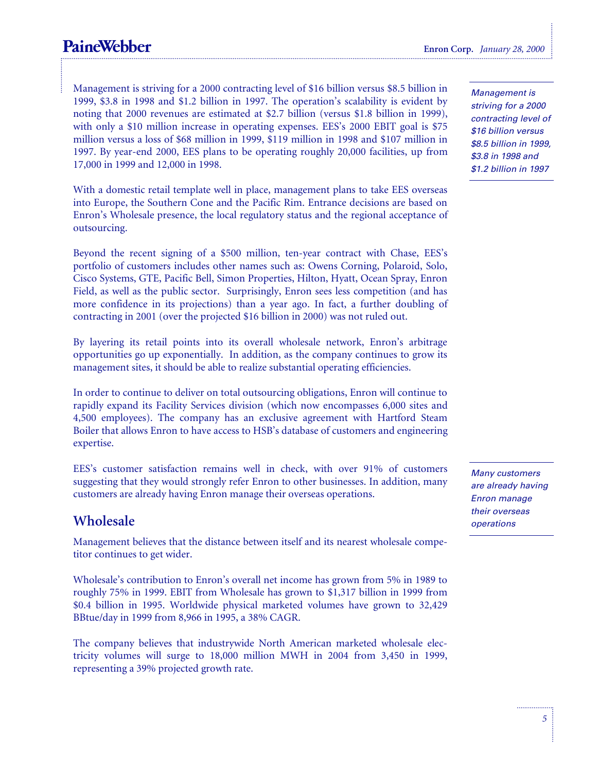### **PaineWebber** Enron Corp. *January 28, 2000*

Management is striving for a 2000 contracting level of \$16 billion versus \$8.5 billion in 1999, \$3.8 in 1998 and \$1.2 billion in 1997. The operation's scalability is evident by noting that 2000 revenues are estimated at \$2.7 billion (versus \$1.8 billion in 1999), with only a \$10 million increase in operating expenses. EES's 2000 EBIT goal is \$75 million versus a loss of \$68 million in 1999, \$119 million in 1998 and \$107 million in 1997. By year-end 2000, EES plans to be operating roughly 20,000 facilities, up from 17,000 in 1999 and 12,000 in 1998.

With a domestic retail template well in place, management plans to take EES overseas into Europe, the Southern Cone and the Pacific Rim. Entrance decisions are based on Enron's Wholesale presence, the local regulatory status and the regional acceptance of outsourcing.

Beyond the recent signing of a \$500 million, ten-year contract with Chase, EES's portfolio of customers includes other names such as: Owens Corning, Polaroid, Solo, Cisco Systems, GTE, Pacific Bell, Simon Properties, Hilton, Hyatt, Ocean Spray, Enron Field, as well as the public sector. Surprisingly, Enron sees less competition (and has more confidence in its projections) than a year ago. In fact, a further doubling of contracting in 2001 (over the projected \$16 billion in 2000) was not ruled out.

By layering its retail points into its overall wholesale network, Enron's arbitrage opportunities go up exponentially. In addition, as the company continues to grow its management sites, it should be able to realize substantial operating efficiencies.

In order to continue to deliver on total outsourcing obligations, Enron will continue to rapidly expand its Facility Services division (which now encompasses 6,000 sites and 4,500 employees). The company has an exclusive agreement with Hartford Steam Boiler that allows Enron to have access to HSB's database of customers and engineering expertise.

EES's customer satisfaction remains well in check, with over 91% of customers suggesting that they would strongly refer Enron to other businesses. In addition, many customers are already having Enron manage their overseas operations.

#### **Wholesale**

Management believes that the distance between itself and its nearest wholesale competitor continues to get wider.

Wholesale's contribution to Enron's overall net income has grown from 5% in 1989 to roughly 75% in 1999. EBIT from Wholesale has grown to \$1,317 billion in 1999 from \$0.4 billion in 1995. Worldwide physical marketed volumes have grown to 32,429 BBtue/day in 1999 from 8,966 in 1995, a 38% CAGR.

The company believes that industrywide North American marketed wholesale electricity volumes will surge to 18,000 million MWH in 2004 from 3,450 in 1999, representing a 39% projected growth rate.

Management is striving for a 2000 contracting level of \$16 billion versus \$8.5 billion in 1999, \$3.8 in 1998 and \$1.2 billion in 1997

Many customers are already having Enron manage their overseas operations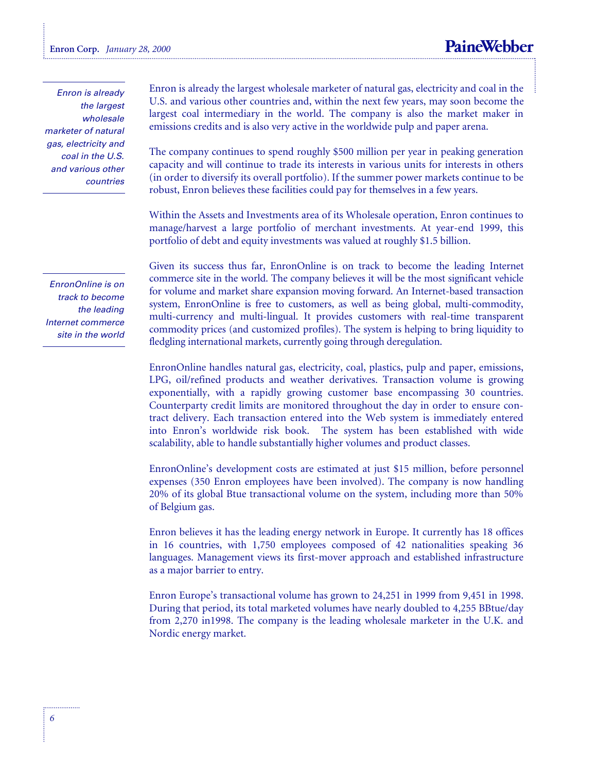Enron is already the largest wholesale marketer of natural gas, electricity and coal in the U.S. and various other countries

EnronOnline is on track to become the leading Internet commerce site in the world

Enron is already the largest wholesale marketer of natural gas, electricity and coal in the U.S. and various other countries and, within the next few years, may soon become the largest coal intermediary in the world. The company is also the market maker in emissions credits and is also very active in the worldwide pulp and paper arena.

The company continues to spend roughly \$500 million per year in peaking generation capacity and will continue to trade its interests in various units for interests in others (in order to diversify its overall portfolio). If the summer power markets continue to be robust, Enron believes these facilities could pay for themselves in a few years.

Within the Assets and Investments area of its Wholesale operation, Enron continues to manage/harvest a large portfolio of merchant investments. At year-end 1999, this portfolio of debt and equity investments was valued at roughly \$1.5 billion.

Given its success thus far, EnronOnline is on track to become the leading Internet commerce site in the world. The company believes it will be the most significant vehicle for volume and market share expansion moving forward. An Internet-based transaction system, EnronOnline is free to customers, as well as being global, multi-commodity, multi-currency and multi-lingual. It provides customers with real-time transparent commodity prices (and customized profiles). The system is helping to bring liquidity to fledgling international markets, currently going through deregulation.

EnronOnline handles natural gas, electricity, coal, plastics, pulp and paper, emissions, LPG, oil/refined products and weather derivatives. Transaction volume is growing exponentially, with a rapidly growing customer base encompassing 30 countries. Counterparty credit limits are monitored throughout the day in order to ensure contract delivery. Each transaction entered into the Web system is immediately entered into Enron's worldwide risk book. The system has been established with wide scalability, able to handle substantially higher volumes and product classes.

EnronOnline's development costs are estimated at just \$15 million, before personnel expenses (350 Enron employees have been involved). The company is now handling 20% of its global Btue transactional volume on the system, including more than 50% of Belgium gas.

Enron believes it has the leading energy network in Europe. It currently has 18 offices in 16 countries, with 1,750 employees composed of 42 nationalities speaking 36 languages. Management views its first-mover approach and established infrastructure as a major barrier to entry.

Enron Europe's transactional volume has grown to 24,251 in 1999 from 9,451 in 1998. During that period, its total marketed volumes have nearly doubled to 4,255 BBtue/day from 2,270 in1998. The company is the leading wholesale marketer in the U.K. and Nordic energy market.

. . . . . . . . . . . . .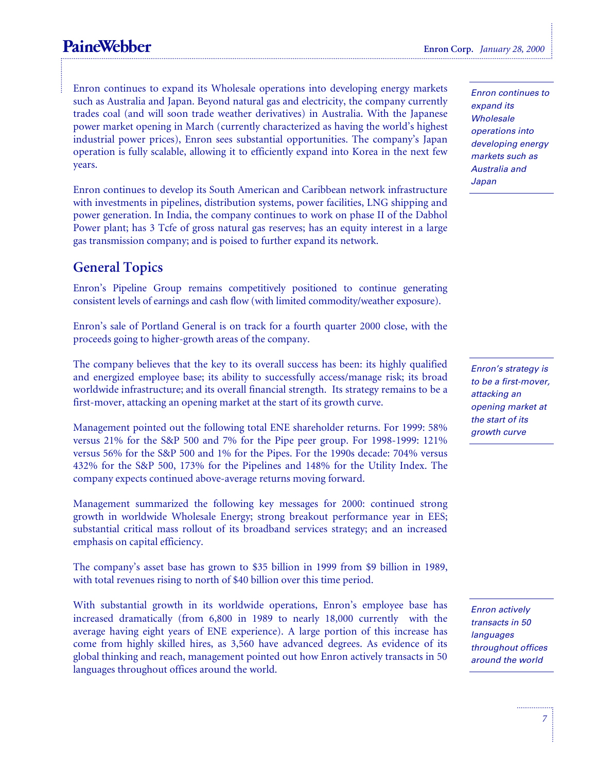### **PaineWebber** Enron Corp. *January 28, 2000*

Enron continues to expand its Wholesale operations into developing energy markets such as Australia and Japan. Beyond natural gas and electricity, the company currently trades coal (and will soon trade weather derivatives) in Australia. With the Japanese power market opening in March (currently characterized as having the world's highest industrial power prices), Enron sees substantial opportunities. The company's Japan operation is fully scalable, allowing it to efficiently expand into Korea in the next few years.

Enron continues to develop its South American and Caribbean network infrastructure with investments in pipelines, distribution systems, power facilities, LNG shipping and power generation. In India, the company continues to work on phase II of the Dabhol Power plant; has 3 Tcfe of gross natural gas reserves; has an equity interest in a large gas transmission company; and is poised to further expand its network.

#### **General Topics**

Enron's Pipeline Group remains competitively positioned to continue generating consistent levels of earnings and cash flow (with limited commodity/weather exposure).

Enron's sale of Portland General is on track for a fourth quarter 2000 close, with the proceeds going to higher-growth areas of the company.

The company believes that the key to its overall success has been: its highly qualified and energized employee base; its ability to successfully access/manage risk; its broad worldwide infrastructure; and its overall financial strength. Its strategy remains to be a first-mover, attacking an opening market at the start of its growth curve.

Management pointed out the following total ENE shareholder returns. For 1999: 58% versus 21% for the S&P 500 and 7% for the Pipe peer group. For 1998-1999: 121% versus 56% for the S&P 500 and 1% for the Pipes. For the 1990s decade: 704% versus 432% for the S&P 500, 173% for the Pipelines and 148% for the Utility Index. The company expects continued above-average returns moving forward.

Management summarized the following key messages for 2000: continued strong growth in worldwide Wholesale Energy; strong breakout performance year in EES; substantial critical mass rollout of its broadband services strategy; and an increased emphasis on capital efficiency.

The company's asset base has grown to \$35 billion in 1999 from \$9 billion in 1989, with total revenues rising to north of \$40 billion over this time period.

With substantial growth in its worldwide operations, Enron's employee base has increased dramatically (from  $6,800$  in  $1989$  to nearly  $18,000$  currently—with the average having eight years of ENE experience). A large portion of this increase has come from highly skilled hires, as 3,560 have advanced degrees. As evidence of its global thinking and reach, management pointed out how Enron actively transacts in 50 languages throughout offices around the world.

Enron continues to expand its **Wholesale** operations into developing energy markets such as Australia and Japan

Enron's strategy is to be a first-mover, attacking an opening market at the start of its growth curve

Enron actively transacts in 50 languages throughout offices around the world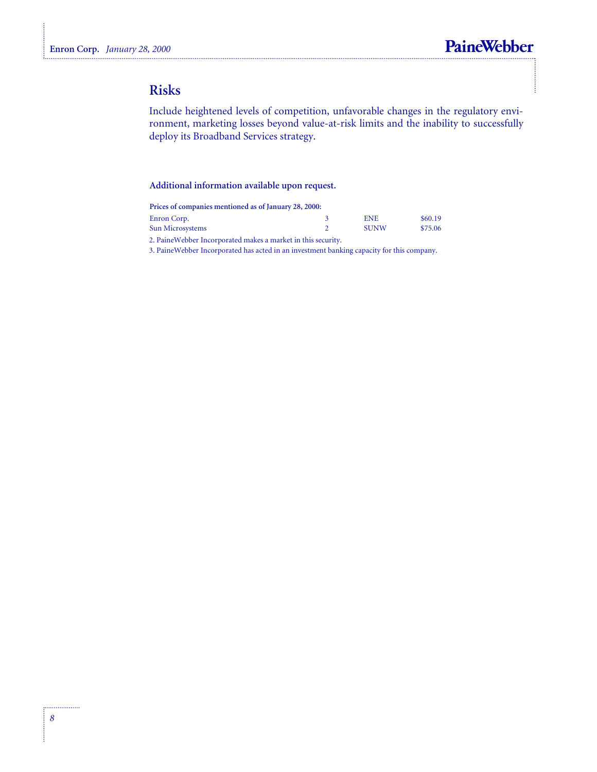### **Risks**

Include heightened levels of competition, unfavorable changes in the regulatory environment, marketing losses beyond value-at-risk limits and the inability to successfully deploy its Broadband Services strategy.

#### **Additional information available upon request.**

| Prices of companies mentioned as of January 28, 2000:         |             |         |
|---------------------------------------------------------------|-------------|---------|
| Enron Corp.                                                   | <b>ENE</b>  | \$60.19 |
| Sun Microsystems                                              | <b>SUNW</b> | \$75.06 |
| 2. Paine Webber Incorporated makes a market in this security. |             |         |

3. PaineWebber Incorporated has acted in an investment banking capacity for this company.

. . . . . . . . . . . . . . . .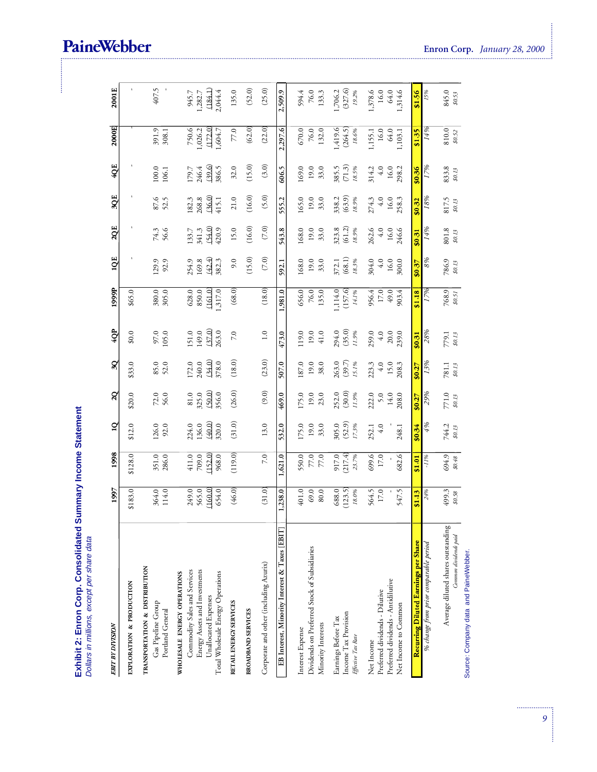Exhibit 2: Enron Corp. Consolidated Summary Income Statement<br>Dollars in millions, except per share data

| <b>EBIT BY DIVISION</b>                                                                                                                                   | 1997                               | 1998                               | $\overline{a}$                    | $\mathbf{q}$                         | $\overline{\mathbf{3Q}}$          | 4QP                                   | 1999P                                  | 1QE                               | 2QE                               | 3QE                               | 4QE                               | 2000E                                  | 2001E                                  |  |
|-----------------------------------------------------------------------------------------------------------------------------------------------------------|------------------------------------|------------------------------------|-----------------------------------|--------------------------------------|-----------------------------------|---------------------------------------|----------------------------------------|-----------------------------------|-----------------------------------|-----------------------------------|-----------------------------------|----------------------------------------|----------------------------------------|--|
| EXPLORATION & PRODUCTION                                                                                                                                  | \$183.0                            | \$128.0                            | \$12.0                            | \$20.0                               | \$33.0                            | \$0.0                                 | \$65.0                                 |                                   |                                   |                                   |                                   |                                        |                                        |  |
| TRANSPORTATION & DISTRIBUTION<br>Gas Pipeline Group<br>Portland General                                                                                   | 364.0<br>114.0                     | 351.0                              | 126.0<br>$92.0$                   | $72.0$<br>56.0                       | 85.0<br>52.0                      | $97.0\,$<br>105.0                     | 380.0                                  | 129.9<br>92.9                     | 74.3<br>56.6                      | 87.6                              | 100.0<br>106.1                    | 391.9<br>308.1                         | 407.5                                  |  |
| Energy Assets and Investments<br>Commodity Sales and Services<br>Total Wholesale Energy Operations<br>WHOLESALE ENERGY OPERATIONS<br>Unallocated Expenses | 249.0<br>565.0<br>(160.0)<br>654.0 | 709.0<br>(152.0)<br>411.0<br>968.0 | (40.0)<br>224.0<br>136.0<br>320.0 | (50.0)<br>$81.0\,$<br>325.0<br>356.0 | (34.0)<br>172.0<br>240.0<br>378.0 | (37.0)<br>151.0<br>149.0<br>263.0     | (161.0)<br>628.0<br>,317.0<br>850.0    | (42.4)<br>254.9<br>169.8<br>382.3 | (54.0)<br>420.9<br>133.7<br>341.3 | (36.0)<br>182.3<br>268.8<br>415.1 | (39.6)<br>386.5<br>179.7<br>246.4 | (172.0)<br>750.6<br>1,604.7<br>1,026.2 | (184.1)<br>2,044.4<br>945.7<br>1,282.7 |  |
| RETAIL ENERGY SERVICES                                                                                                                                    | (46.0)                             | (119.0)                            | (31.0)                            | (26.0)                               | (18.0)                            | $7.0\,$                               | (68.0)                                 | 9.0                               | 15.0                              | 21.0                              | 32.0                              | $77.0\,$                               | 135.0                                  |  |
| BROADBAND SERVICES                                                                                                                                        |                                    |                                    |                                   |                                      |                                   |                                       |                                        | (15.0)                            | (16.0)                            | $(16.0)$                          | (15.0)                            | (62.0)                                 | (52.0)                                 |  |
| Corporate and other (including Azurix)                                                                                                                    | (31.0)                             | 7.0                                | 13.0                              | $(9.0)$                              | (23.0)                            | $1.0\,$                               | (18.0)                                 | $(7.0)$                           | $(7.0)$                           | (5.0)                             | (3.0)                             | (22.0)                                 | (25.0)                                 |  |
| EB Interest, Minority Interest & Taxes [EBIT]                                                                                                             | 1,238.0                            | 1,621.0                            | 532.0                             | 469.0                                | 507.0                             | 473.0                                 | 1,981.0                                | 592.1                             | 543.8                             | 555.2                             | 606.5                             | 2,297.6                                | 2,509.9                                |  |
| Dividends on Preferred Stock of Subsidiaries<br>Minority Interests<br>Interest Expense                                                                    | 401.0<br>$69.0\,$<br>$80.0$        | 550.0<br>$\frac{77.0}{77.0}$       | 175.0<br>33.0<br>19.0             | 175.0<br>19.0<br>23.0                | 187.0<br>19.0<br>38.0             | 119.0<br>19.0<br>41.0                 | 656.0<br>$76.0\,$<br>135.0             | 168.0<br>19.0<br>33.0             | 168.0<br>33.0<br>19.0             | 165.0<br>19.0<br>33.0             | 169.0<br>19.0<br>33.0             | $670.0\,$<br>$76.0\,$<br>132.0         | 594.4<br>$76.0\,$<br>133.3             |  |
| Income Tax Provision<br>Earnings Before Tax<br>Effective Tax Rate                                                                                         | 688.0<br>(123.5)<br>$18.0\%$       | 917.0<br>(217.4)<br>23.7%          | 305.0<br>(52.9)<br>17.3%          | 252.0<br>(30.0)<br>11.9%             | 263.0<br>(39.7)<br>15.1%          | 294.0<br>(35.0)<br>11.9%              | ,114.0<br>(157.6)<br>$14.1\%$          | (68.1)<br>18.3%<br>372.1          | 323.8<br>$(61.2)$<br>$18.9%$      | 338.2<br>(63.9)<br>18.9%          | (71.3)<br>385.5<br>18.5%          | ,419.6<br>(264.5)<br>$18.6\%$          | (327.6)<br>1,706.2<br>19.2%            |  |
| Preferred dividends - Antidilutive<br>Preferred dividends - Dilutive<br>Net Income to Common<br>Net Income                                                | 564.5<br>$17.0\,$<br>547.5         | 682.6<br>699.6<br>17.0             | 252.1<br>$4.0$<br>248.1           | 222.0<br>208.0<br>14.0<br>5.0        | 223.3<br>208.3<br>$4.0$<br>15.0   | 259.0<br>$20.0$<br>$239.0$<br>$4.0\,$ | 956.4<br>$17.0\,$<br>$49.0\,$<br>903.4 | 304.0<br>$16.0$<br>300.0<br>4.0   | 262.6<br>16.0<br>246.6<br>$4.0$   | $274.3$<br>4.0<br>16.0<br>258.3   | 314.2<br>16.0<br>298.2<br>$4.0$   | 16.0<br>64.0<br>1,155.1<br>1,103.1     | 1,378.6<br>1,314.6<br>16.0<br>64.0     |  |
| Recurring Diluted Earnings per Share                                                                                                                      | \$1.13                             | \$1.01                             | \$0.34                            | \$0.27                               | \$0.27                            | \$0.31                                | \$1.18                                 | \$0.37                            | \$0.31                            | \$0.32                            | \$0.36                            | \$1.35                                 | \$1.56                                 |  |
| % change from prior comparable period                                                                                                                     | 24%                                | $-11%$                             | 4%                                | 29%                                  | 13%                               | 28%                                   | 17%                                    | 8%                                | 14%                               | 18%                               | 17%                               | 14%                                    | 15%                                    |  |
| Average diluted shares outstanding<br>Common dividends paid                                                                                               | $499.3$<br>$$0.58$                 | 694.9<br>\$0.48                    | 744.2<br>\$0.13                   | 771.0<br>\$0.13                      | 781.1<br>\$0.13                   | 779.1<br>\$0.13                       | $768.9$<br>$$0.51$                     | 786.9<br>\$0.13                   | 801.8<br>\$0.13                   | 817.5<br>\$0.13                   | 833.8<br>\$0.13                   | 810.0<br>\$0.52                        | 845.0<br>\$0.53                        |  |

### PaineWebber

Source: Company data and PaineWebber.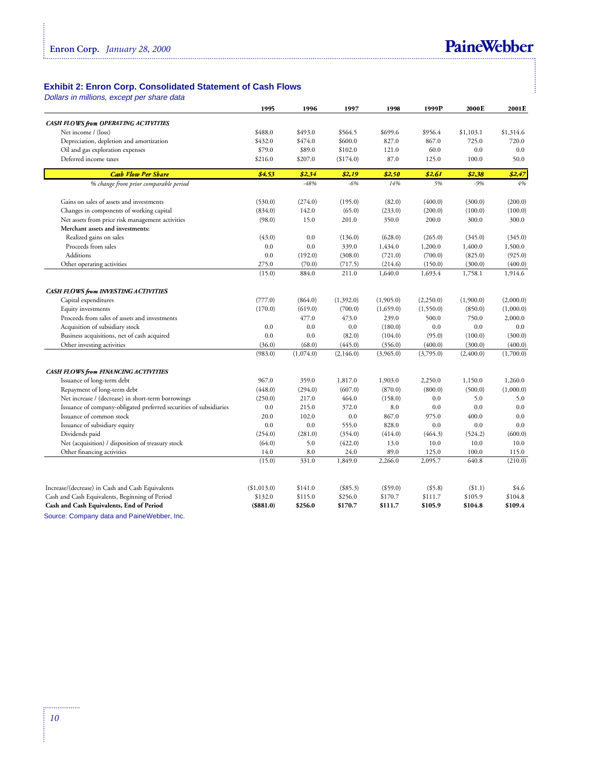

## Exhibit 2: Enron Corp. Consolidated Statement of Cash Flows<br>Dollars in millions, except per share data

|                                                                    | 1995        | 1996      | 1997      | 1998        | 1999P      | 2000E     | 2001E     |
|--------------------------------------------------------------------|-------------|-----------|-----------|-------------|------------|-----------|-----------|
| <b>CASH FLOWS from OPERATING ACTIVITIES</b>                        |             |           |           |             |            |           |           |
| Net income / (loss)                                                | \$488.0     | \$493.0   | \$564.5   | \$699.6     | \$956.4    | \$1,103.1 | \$1,314.6 |
| Depreciation, depletion and amortization                           | \$432.0     | \$474.0   | \$600.0   | 827.0       | 867.0      | 725.0     | 720.0     |
| Oil and gas exploration expenses                                   | \$79.0      | \$89.0    | \$102.0   | 121.0       | 60.0       | 0.0       | 0.0       |
| Deferred income taxes                                              | \$216.0     | \$207.0   | (\$174.0) | 87.0        | 125.0      | 100.0     | 50.0      |
| <b>Cash Flow Per Share</b>                                         | \$4.53      | \$2.34    | \$2.19    | \$2.50      | \$2.61     | \$2.38    | \$2.47    |
| % change from prior comparable period                              |             | $-48%$    | $-6%$     | 14%         | 5%         | $-9%$     | 4%        |
| Gains on sales of assets and investments                           | (530.0)     | (274.0)   | (195.0)   | (82.0)      | (400.0)    | (300.0)   | (200.0)   |
| Changes in components of working capital                           | (834.0)     | 142.0     | (65.0)    | (233.0)     | (200.0)    | (100.0)   | (100.0)   |
| Net assets from price risk management activities                   | (98.0)      | 15.0      | 201.0     | 350.0       | 200.0      | 300.0     | 300.0     |
| Merchant assets and investments:                                   |             |           |           |             |            |           |           |
| Realized gains on sales                                            | (43.0)      | 0.0       | (136.0)   | (628.0)     | (265.0)    | (345.0)   | (345.0)   |
| Proceeds from sales                                                | 0.0         | 0.0       | 339.0     | 1,434.0     | 1,200.0    | 1,400.0   | 1,500.0   |
| Additions                                                          | 0.0         | (192.0)   | (308.0)   | (721.0)     | (700.0)    | (825.0)   | (925.0)   |
| Other operating activities                                         | 275.0       | (70.0)    | (717.5)   | (214.6)     | (150.0)    | (300.0)   | (400.0)   |
|                                                                    | (15.0)      | 884.0     | 211.0     | 1,640.0     | 1,693.4    | 1,758.1   | 1,914.6   |
| CASH FLOWS from INVESTING ACTIVITIES                               |             |           |           |             |            |           |           |
| Capital expenditures                                               | (777.0)     | (864.0)   | (1,392.0) | (1,905.0)   | (2,250.0)  | (1,900.0) | (2,000.0) |
| Equity investments                                                 | (170.0)     | (619.0)   | (700.0)   | (1,659.0)   | (1,550.0)  | (850.0)   | (1,000.0) |
| Proceeds from sales of assets and investments                      |             | 477.0     | 473.0     | 239.0       | 500.0      | 750.0     | 2,000.0   |
| Acquisition of subsidiary stock                                    | 0.0         | 0.0       | $0.0\,$   | (180.0)     | 0.0        | 0.0       | 0.0       |
| Business acquisitions, net of cash acquired                        | 0.0         | 0.0       | (82.0)    | (104.0)     | (95.0)     | (100.0)   | (300.0)   |
| Other investing activities                                         | (36.0)      | (68.0)    | (445.0)   | (356.0)     | (400.0)    | (300.0)   | (400.0)   |
|                                                                    | (983.0)     | (1,074.0) | (2,146.0) | (3,965.0)   | (3,795.0)  | (2,400.0) | (1,700.0) |
| <b>CASH FLOWS from FINANCING ACTIVITIES</b>                        |             |           |           |             |            |           |           |
| Issuance of long-term debt                                         | 967.0       | 359.0     | 1,817.0   | 1,903.0     | 2,250.0    | 1,150.0   | 1,260.0   |
| Repayment of long-term debt                                        | (448.0)     | (294.0)   | (607.0)   | (870.0)     | (800.0)    | (500.0)   | (1,000.0) |
| Net increase / (decrease) in short-term borrowings                 | (250.0)     | 217.0     | 464.0     | (158.0)     | 0.0        | 5.0       | 5.0       |
| Issuance of company-obligated preferred securities of subsidiaries | 0.0         | 215.0     | 372.0     | 8.0         | 0.0        | 0.0       | 0.0       |
| Issuance of common stock                                           | 20.0        | 102.0     | 0.0       | 867.0       | 975.0      | 400.0     | 0.0       |
| Issuance of subsidiary equity                                      | 0.0         | 0.0       | 555.0     | 828.0       | 0.0        | 0.0       | 0.0       |
| Dividends paid                                                     | (254.0)     | (281.0)   | (354.0)   | (414.0)     | (464.3)    | (524.2)   | (600.0)   |
| Net (acquisition) / disposition of treasury stock                  | (64.0)      | 5.0       | (422.0)   | 13.0        | 10.0       | 10.0      | 10.0      |
| Other financing activities                                         | 14.0        | 8.0       | 24.0      | 89.0        | 125.0      | 100.0     | 115.0     |
|                                                                    | (15.0)      | 331.0     | 1,849.0   | 2,266.0     | 2,095.7    | 640.8     | (210.0)   |
|                                                                    |             |           |           |             |            |           |           |
| Increase/(decrease) in Cash and Cash Equivalents                   | (\$1,013.0) | \$141.0   | (\$85.3)  | $($ \$59.0) | $($ \$5.8) | ( \$1.1)  | \$4.6     |
| Cash and Cash Equivalents, Beginning of Period                     | \$132.0     | \$115.0   | \$256.0   | \$170.7     | \$111.7    | \$105.9   | \$104.8   |
| Cash and Cash Equivalents, End of Period                           | ( \$881.0)  | \$256.0   | \$170.7   | \$111.7     | \$105.9    | \$104.8   | \$109.4   |

Source: Company data and PaineWebber, Inc.

.................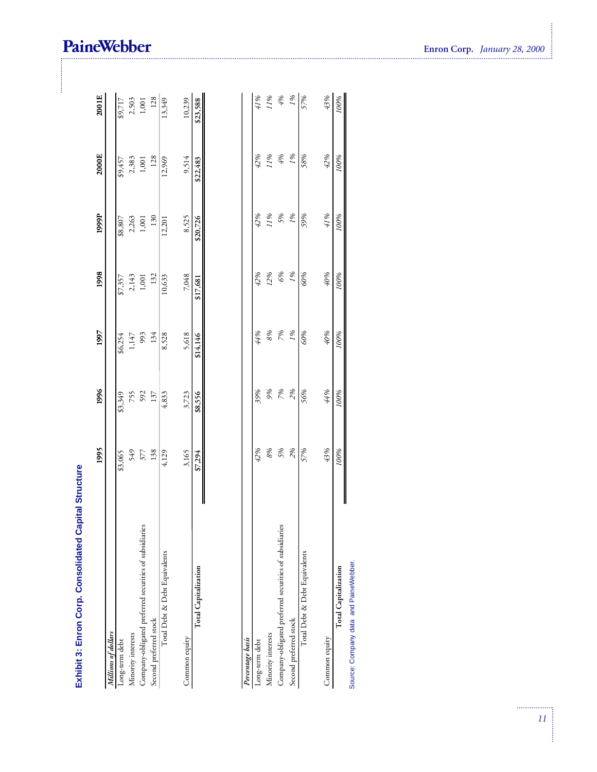| Exhibit 3: Enron Corp. Consolidated Capital Structure  |         |         |                  |            |          |                   |                |
|--------------------------------------------------------|---------|---------|------------------|------------|----------|-------------------|----------------|
|                                                        | 1995    | 1996    | 1997             | 1998       | 1999P    | 2000E             | 2001E          |
| Millions of dollars                                    |         |         |                  |            |          |                   |                |
| Long-term debt                                         | \$3,065 | \$3,349 | \$6,254          | \$7,357    | \$8,807  | \$9,457           | \$9,717        |
| Minority interests                                     | 549     | 755     | 1,147            | 2,143      | 2,263    | 2,383             | 2,503          |
| Company-obligated preferred securities of subsidiaries | 377     | 592     | 993              | $1,001$    | $1,001$  | 1,001             | $1,001$        |
| Second preferred stock                                 | 138     | 137     | 134              | 132        | 130      | 128               | 128            |
| Total Debt & Debt Equivalents                          | 4,129   | 4,833   | 8,528            | 10,633     | 12,201   | 12,969            | 13,349         |
| Common equity                                          | 3,165   | 3,723   | 5,618            | 7,048      | 8,525    | 9,514             | 10,239         |
| <b>Total Capitalization</b>                            | \$7,294 | \$8,556 | \$14,146         | \$17,681   | \$20,726 | \$22,483          | \$23,588       |
|                                                        |         |         |                  |            |          |                   |                |
| Percentage basis                                       |         |         |                  |            |          |                   |                |
| Long-term debt                                         | 42%     | 39%     | 44%              | 42%        | 42%      | 42%               | 41%            |
| Minority interests                                     | $8\%$   | 9%      | 8%               | 12%        | 11%      | 11%               | 11%            |
| Company-obligated preferred securities of subsidiaries | 5%      | 7%      | 7%               | 6%         | 5%       | $\theta_\theta^*$ | $\sqrt[4]{96}$ |
| Second preferred stock                                 | 2%      | 2%      | 1%               | 1%         | 1%       | 1%                | $1\%$          |
| Total Debt & Debt Equivalents                          | 57%     | 56%     | 90%              | 90%        | 59%      | 58%               | 57%            |
| Common equity                                          | 43%     | 44%     | $\sqrt[4]{20\%}$ | $\theta_0$ | 41%      | 42%               | 43%            |

 $100\%$ 

100%

100%

 $100%$ 

100%

100%

96001

 $\Big\|$ 

Source: Company data and PaineWebber. Total Capitalization

### PaineWebber

÷